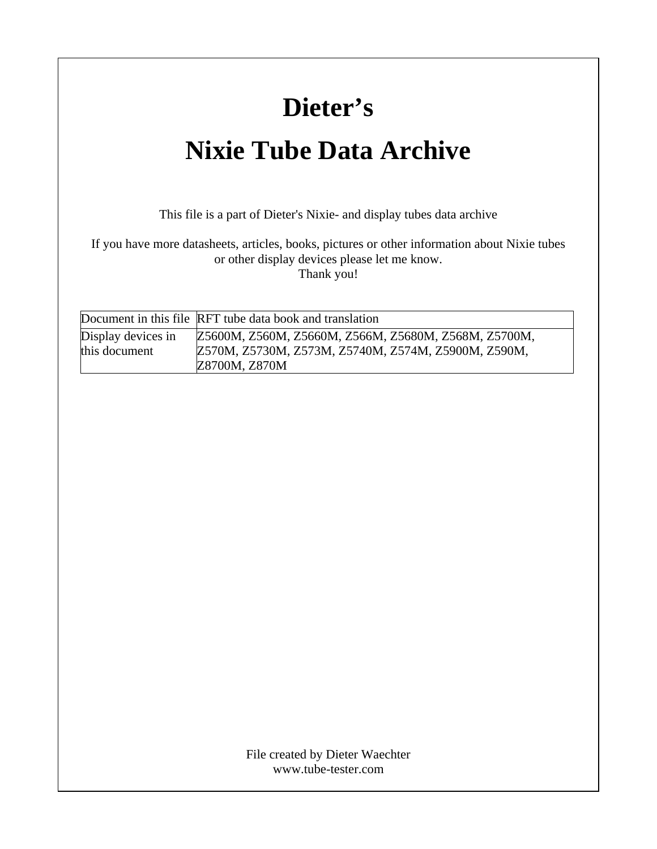## **Dieter's**

## **Nixie Tube Data Archive**

This file is a part of Dieter's Nixie- and display tubes data archive

If you have more datasheets, articles, books, pictures or other information about Nixie tubes or other display devices please let me know. Thank you!

|                                     | Document in this file RFT tube data book and translation                                                                     |
|-------------------------------------|------------------------------------------------------------------------------------------------------------------------------|
| Display devices in<br>this document | Z5600M, Z560M, Z5660M, Z566M, Z5680M, Z568M, Z5700M,<br>Z570M, Z5730M, Z573M, Z5740M, Z574M, Z5900M, Z590M,<br>Z8700M, Z870M |

www.tube-tester.com File created by Dieter Waechter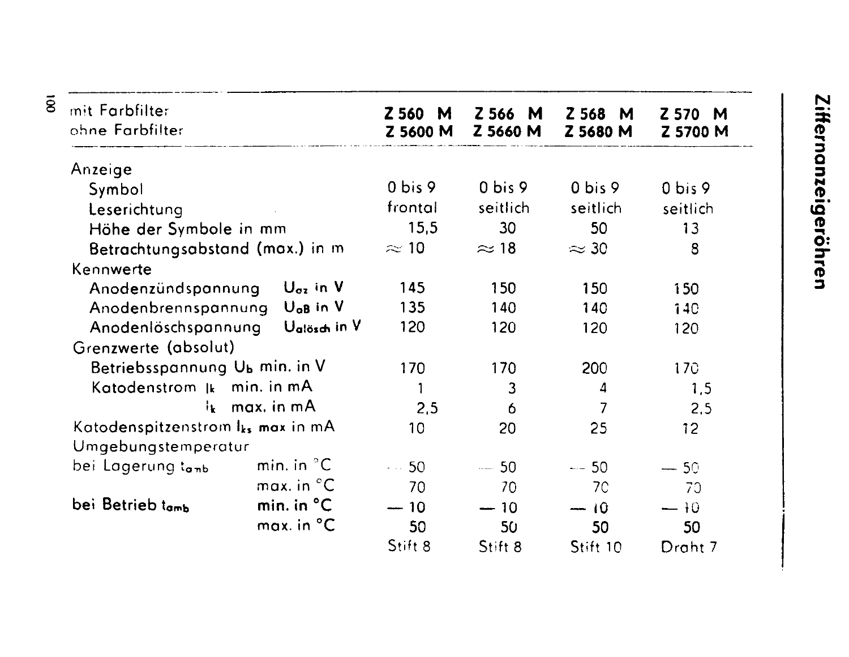| mit Farbfilter<br>ohne Farbfilter<br>Anzeige  |                               | Z 560<br>M<br>Z 5600 M | Z 566 M<br>Z 5660 M | Z 568<br>M<br>Z 5680 M | Z 570<br>M       |  |
|-----------------------------------------------|-------------------------------|------------------------|---------------------|------------------------|------------------|--|
|                                               |                               |                        |                     |                        | Z 5700 M         |  |
|                                               |                               | $0 \text{ bis } 9$     | 0 bis 9             | $0$ bis $9$            | 0 bis 9          |  |
| Symbol                                        |                               |                        |                     |                        |                  |  |
| Leserichtung                                  |                               | frontal                | seitlich            | seitlich               | seitlich         |  |
| Höhe der Symbole in mm                        |                               | 15,5                   | 30                  | 50                     | 13               |  |
| Betrachtungsabstand (max.) in m               |                               | $\approx$ 10           | $\approx$ 18        | $\approx$ 30           | 8                |  |
| Kennwerte                                     |                               |                        |                     |                        |                  |  |
| Anodenzündspannung                            | $U_{\sigma z}$ in V           | 145                    | 150                 | 150                    | 150              |  |
| Anodenbrennspannung                           | $U_{\alpha B}$ in $V$         | 135                    | 140                 | 140                    | <b>140</b>       |  |
| Anodenlöschspannung                           | Ualösch in V                  | 120                    | 120                 | 120                    | 120              |  |
| Grenzwerte (absolut)                          |                               |                        |                     |                        |                  |  |
|                                               | Betriebsspannung Ub min. in V |                        | 170                 | <b>200</b>             | 170 <sub>°</sub> |  |
| Katodenstrom $\ $ k min. in mA                |                               |                        | 3                   | 4                      | 1,5              |  |
| $i_k$ max. in mA                              |                               | 2,5                    | 6                   | 7                      | 2,5              |  |
| Katodenspitzenstrom I <sub>ks</sub> max in mA |                               | 10 <sub>1</sub>        | 20                  | 25                     | 12 <sub>2</sub>  |  |
| Umgebungstemperatur                           |                               |                        |                     |                        |                  |  |
| bei Lagerung t <sub>amb</sub>                 | min. in ${}^{\circ}$ C        | $\sim$ 50              | $-50$               | $-- 50$                | $-50$            |  |
|                                               | max. in $^{\circ}$ C          | 70                     | 70                  | 7C                     | 70               |  |
| bei Betrieb tamb                              | min. in $^{\circ}$ C          | $-10$                  | $-10$               | $-10$                  | $-10$            |  |
|                                               | $max.$ in $^{\circ}$ C        | 50                     | 50                  | 50                     | 50               |  |
|                                               |                               | Stift 8                | Stift 8             | Stift 10               | Draht 7          |  |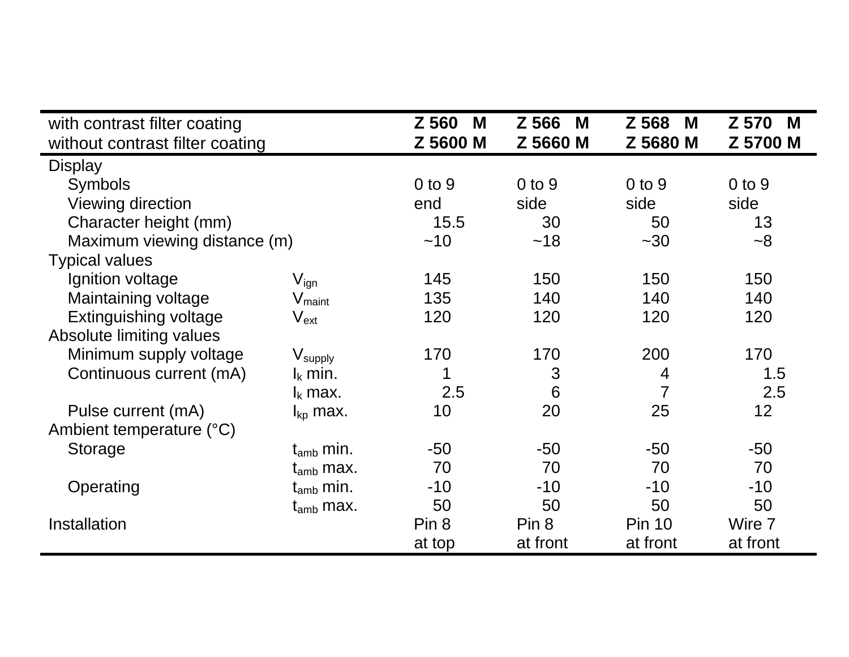| with contrast filter coating    |                             | Z 560<br>M | Z 566<br>M | Z 568<br>M     | Z 570<br>M |
|---------------------------------|-----------------------------|------------|------------|----------------|------------|
| without contrast filter coating |                             | Z 5600 M   | Z 5660 M   | Z 5680 M       | Z 5700 M   |
| <b>Display</b>                  |                             |            |            |                |            |
| Symbols                         |                             | $0$ to $9$ | $0$ to $9$ | $0$ to $9$     | $0$ to $9$ |
| Viewing direction               |                             | end        | side       | side           | side       |
| Character height (mm)           |                             | 15.5       | 30         | 50             | 13         |
| Maximum viewing distance (m)    |                             | ~10        | ~18        | $~1$ - 30      | $-8$       |
| <b>Typical values</b>           |                             |            |            |                |            |
| Ignition voltage                | $\mathsf{V}_{\mathsf{ign}}$ | 145        | 150        | 150            | 150        |
| Maintaining voltage             | $V_{\text{maint}}$          | 135        | 140        | 140            | 140        |
| Extinguishing voltage           | $\mathsf{V}_{\mathsf{ext}}$ | 120        | 120        | 120            | 120        |
| Absolute limiting values        |                             |            |            |                |            |
| Minimum supply voltage          | $V_{\text{supply}}$         | 170        | 170        | 200            | 170        |
| Continuous current (mA)         | $I_k$ min.                  | 1          | 3          | $\overline{4}$ | 1.5        |
|                                 | $I_k$ max.                  | 2.5        | 6          | 7              | 2.5        |
| Pulse current (mA)              | $I_{kp}$ max.               | 10         | 20         | 25             | 12         |
| Ambient temperature (°C)        |                             |            |            |                |            |
| <b>Storage</b>                  | $t_{amb}$ min.              | $-50$      | $-50$      | -50            | $-50$      |
|                                 | $t_{amb}$ max.              | 70         | 70         | 70             | 70         |
| Operating                       | $t_{amb}$ min.              | $-10$      | $-10$      | $-10$          | $-10$      |
|                                 | $t_{amb}$ max.              | 50         | 50         | 50             | 50         |
| <b>Installation</b>             |                             | Pin 8      | Pin 8      | <b>Pin 10</b>  | Wire 7     |
|                                 |                             | at top     | at front   | at front       | at front   |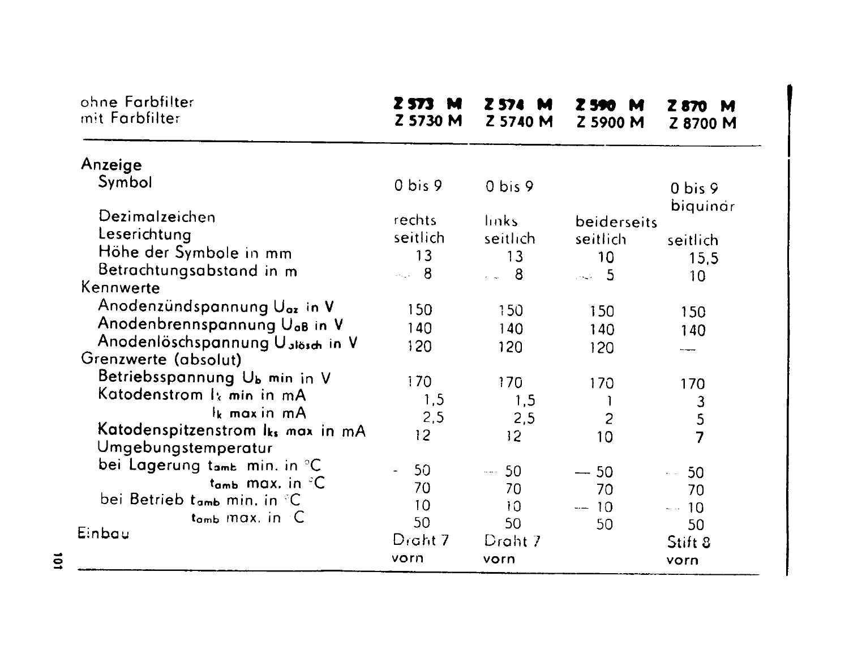| ohne Farbfilter<br>mit Farbfilter        | Z 573 M<br>Z 5730 M | Z 574 M<br>Z 5740 M | Z 590 -<br>М<br>Z 5900 M       | <b>Z870 M</b><br>Z 8700 M |
|------------------------------------------|---------------------|---------------------|--------------------------------|---------------------------|
| Anzeige                                  |                     |                     |                                |                           |
| Symbol                                   | 0 bis 9             | 0 bis 9             |                                | 0 bis 9<br>biquinar       |
| Dezimalzeichen                           | rechts              | links               | beiderseits                    |                           |
| Leserichtung                             | seitlich            | seitlich            | seitlich                       | seitlich                  |
| Höhe der Symbole in mm                   | 13                  | 13                  | 10 <sub>1</sub>                | 15,5                      |
| Betrachtungsabstand in m                 | $\sim$ 8            | $\sim$ 8            | 5                              | 10 <sub>1</sub>           |
| Kennwerte                                |                     |                     |                                |                           |
| Anodenzündspannung Uoz in V              | 150                 | 150                 | 150                            | 150                       |
| Anodenbrennspannung U <sub>aB</sub> in V | 140                 | 140                 | 140                            |                           |
| Anodenlöschspannung Uslösch in V         | 120                 | 120                 |                                | 140                       |
| Grenzwerte (absolut)                     |                     |                     | 120                            |                           |
| Betriebsspannung Ub min in V             | 170                 | 170                 | 170                            |                           |
| Katodenstrom I <sub>k</sub> min in mA    | 1,5                 |                     |                                | 170                       |
| Ik max in mA                             |                     | 1,5                 | J.                             | $\frac{3}{5}$             |
| Katodenspitzenstrom Iks max in mA        | 2,5                 | 2,5                 | 2                              |                           |
| Umgebungstemperatur                      | 12                  | 12 <sup>2</sup>     | 10                             | $\overline{7}$            |
| bei Lagerung tamb min. in °C             |                     |                     |                                |                           |
| $t_{amb}$ max, in $°C$                   | 50                  | $-50$               | $-50$                          | 50<br>$\hat{z}_1$ and     |
| bei Betrieb tamb min. in °C              | 70                  | 70                  | 70                             | 70                        |
| $t_{amb}$ max. in $\degree$ C            | 10                  | 10                  | 10<br>$\overline{\phantom{m}}$ | $-$ 10                    |
| Einbau                                   | 50                  | 50                  | 50                             | 50                        |
|                                          | Draht 7             | Draht 7             |                                | Stift 8                   |
|                                          | vorn                | vorn                |                                | vorn                      |

 $\overline{101}$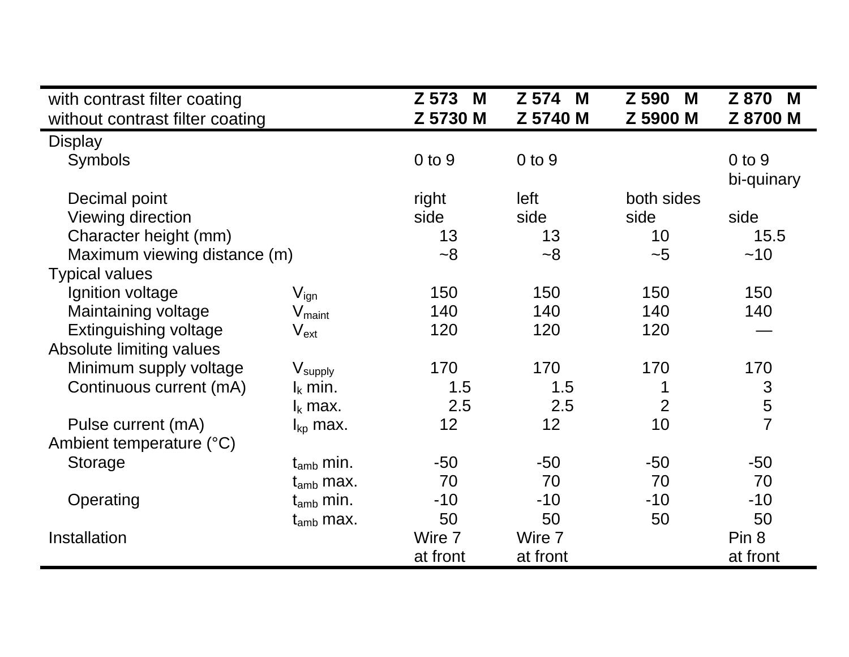| with contrast filter coating<br>without contrast filter coating |                             | Z 573<br>M<br>Z 5730 M | Z 574<br>M<br>Z 5740 M | Z 590<br>M<br>Z 5900 M | Z 870<br>M<br>Z 8700 M   |  |
|-----------------------------------------------------------------|-----------------------------|------------------------|------------------------|------------------------|--------------------------|--|
| <b>Display</b>                                                  |                             |                        |                        |                        |                          |  |
| <b>Symbols</b>                                                  |                             | $0$ to $9$             | $0$ to $9$             |                        | $0$ to $9$<br>bi-quinary |  |
| Decimal point                                                   |                             | right                  | left                   | both sides             |                          |  |
| Viewing direction                                               |                             | side                   | side                   | side                   | side                     |  |
| Character height (mm)                                           |                             | 13                     | 13                     | 10                     | 15.5                     |  |
| Maximum viewing distance (m)                                    |                             | $~-8$                  | $~-8$                  | ~1                     | ~10                      |  |
| <b>Typical values</b>                                           |                             |                        |                        |                        |                          |  |
| Ignition voltage                                                | $V_{\mathsf{ign}}$          | 150                    | 150                    | 150                    | 150                      |  |
| Maintaining voltage                                             | $V_{\text{maint}}$          | 140                    | 140                    | 140                    | 140                      |  |
| Extinguishing voltage                                           | $\mathsf{V}_{\mathsf{ext}}$ | 120                    | 120                    | 120                    |                          |  |
| Absolute limiting values                                        |                             |                        |                        |                        |                          |  |
| Minimum supply voltage                                          | $V_{\sf supply}$            | 170                    | 170                    | 170                    | 170                      |  |
| Continuous current (mA)                                         | $I_k$ min.                  | 1.5                    | 1.5                    | 1                      | 3                        |  |
|                                                                 | $I_k$ max.                  | 2.5                    | 2.5                    | $\overline{2}$         | $\frac{5}{7}$            |  |
| Pulse current (mA)                                              | $I_{kp}$ max.               | 12                     | 12                     | 10                     |                          |  |
| Ambient temperature (°C)                                        |                             |                        |                        |                        |                          |  |
| Storage                                                         | $t_{amb}$ min.              | $-50$                  | $-50$                  | $-50$                  | $-50$                    |  |
|                                                                 | $t_{amb}$ max.              | 70                     | 70                     | 70                     | 70                       |  |
| Operating                                                       | $t_{\rm amb}$ min.          | $-10$                  | $-10$                  | $-10$                  | $-10$                    |  |
|                                                                 | $t_{amb}$ max.              | 50                     | 50                     | 50                     | 50                       |  |
| Installation                                                    |                             | Wire 7                 | Wire 7                 |                        | Pin 8                    |  |
|                                                                 |                             | at front               | at front               |                        | at front                 |  |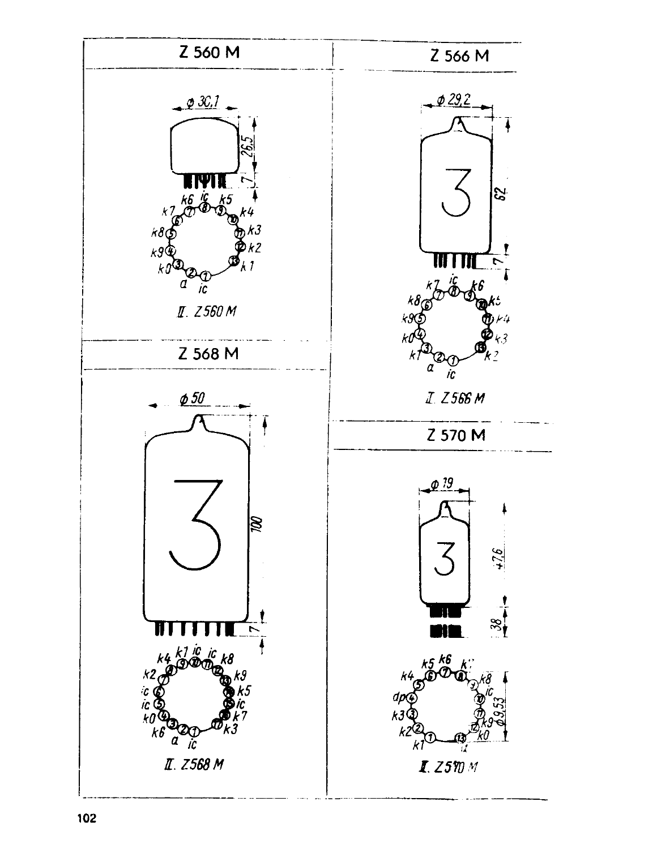